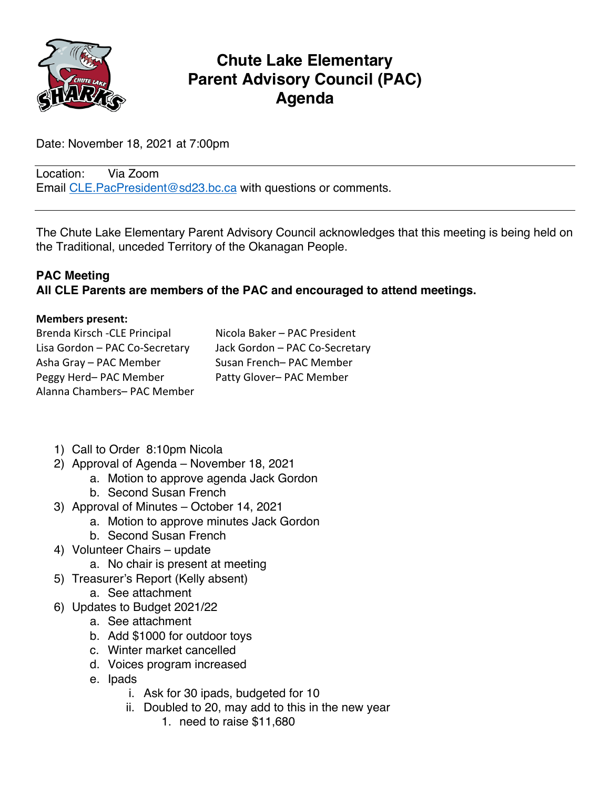

# **Chute Lake Elementary Parent Advisory Council (PAC) Agenda**

Date: November 18, 2021 at 7:00pm

Location: Via Zoom Email CLE. PacPresident@sd23.bc.ca with questions or comments.

The Chute Lake Elementary Parent Advisory Council acknowledges that this meeting is being held on the Traditional, unceded Territory of the Okanagan People.

### **PAC Meeting All CLE Parents are members of the PAC and encouraged to attend meetings.**

#### **Members present:**

| Brenda Kirsch - CLE Principal  | Nicola Baker - PAC President   |
|--------------------------------|--------------------------------|
| Lisa Gordon - PAC Co-Secretary | Jack Gordon - PAC Co-Secretary |
| Asha Gray - PAC Member         | Susan French-PAC Member        |
| Peggy Herd-PAC Member          | Patty Glover- PAC Member       |
| Alanna Chambers- PAC Member    |                                |

- 1) Call to Order 8:10pm Nicola
- 2) Approval of Agenda November 18, 2021
	- a. Motion to approve agenda Jack Gordon
	- b. Second Susan French
- 3) Approval of Minutes October 14, 2021
	- a. Motion to approve minutes Jack Gordon
	- b. Second Susan French
- 4) Volunteer Chairs update
	- a. No chair is present at meeting
- 5) Treasurer's Report (Kelly absent)
	- a. See attachment
- 6) Updates to Budget 2021/22
	- a. See attachment
	- b. Add \$1000 for outdoor toys
	- c. Winter market cancelled
	- d. Voices program increased
	- e. Ipads
		- i. Ask for 30 ipads, budgeted for 10
		- ii. Doubled to 20, may add to this in the new year
			- 1. need to raise \$11,680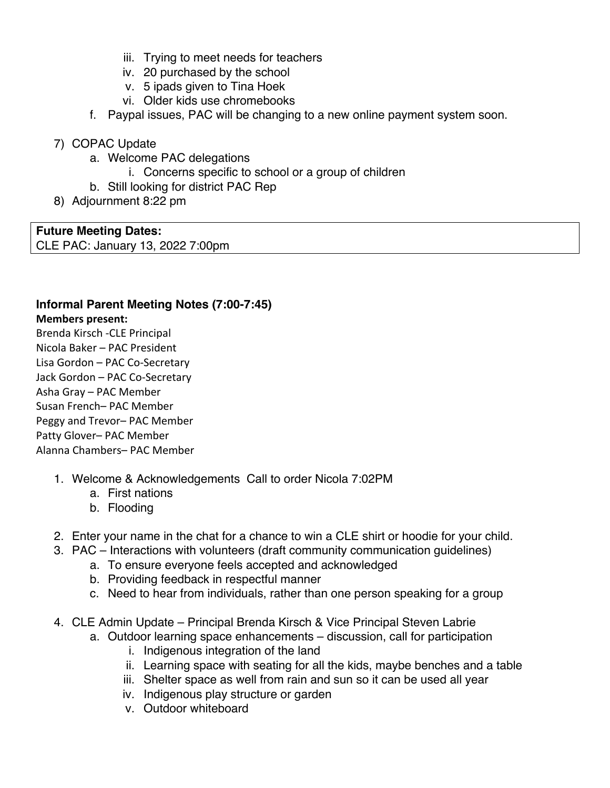- iii. Trying to meet needs for teachers
- iv. 20 purchased by the school
- v. 5 ipads given to Tina Hoek
- vi. Older kids use chromebooks
- f. Paypal issues, PAC will be changing to a new online payment system soon.
- 7) COPAC Update
	- a. Welcome PAC delegations
		- i. Concerns specific to school or a group of children
	- b. Still looking for district PAC Rep
- 8) Adjournment 8:22 pm

**Future Meeting Dates:** CLE PAC: January 13, 2022 7:00pm

## **Informal Parent Meeting Notes (7:00-7:45)**

#### **Members present:**

Brenda Kirsch -CLE Principal Nicola Baker – PAC President Lisa Gordon – PAC Co-Secretary Jack Gordon – PAC Co-Secretary Asha Gray – PAC Member Susan French– PAC Member Peggy and Trevor– PAC Member Patty Glover– PAC Member Alanna Chambers– PAC Member

- 1. Welcome & Acknowledgements Call to order Nicola 7:02PM
	- a. First nations
	- b. Flooding
- 2. Enter your name in the chat for a chance to win a CLE shirt or hoodie for your child.
- 3. PAC Interactions with volunteers (draft community communication guidelines)
	- a. To ensure everyone feels accepted and acknowledged
	- b. Providing feedback in respectful manner
	- c. Need to hear from individuals, rather than one person speaking for a group
- 4. CLE Admin Update Principal Brenda Kirsch & Vice Principal Steven Labrie
	- a. Outdoor learning space enhancements discussion, call for participation
		- i. Indigenous integration of the land
		- ii. Learning space with seating for all the kids, maybe benches and a table
		- iii. Shelter space as well from rain and sun so it can be used all year
		- iv. Indigenous play structure or garden
		- v. Outdoor whiteboard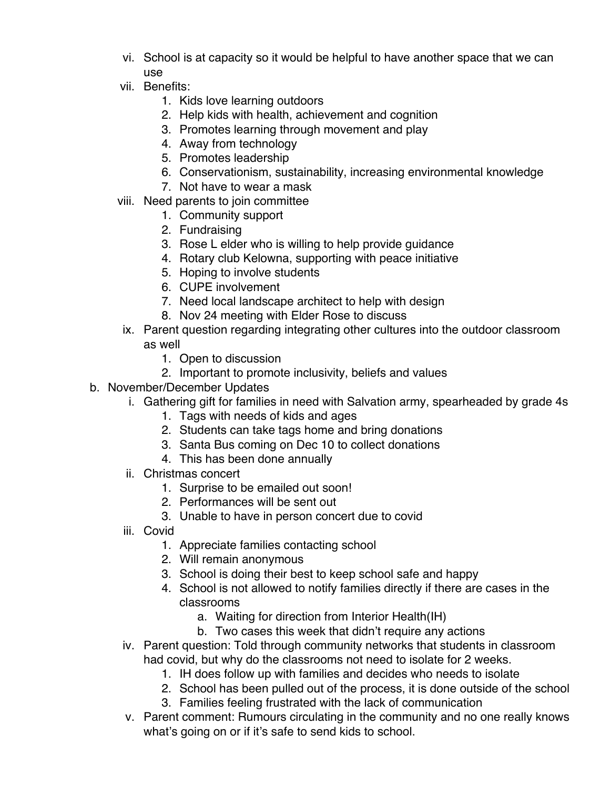- vi. School is at capacity so it would be helpful to have another space that we can use
- vii. Benefits:
	- 1. Kids love learning outdoors
	- 2. Help kids with health, achievement and cognition
	- 3. Promotes learning through movement and play
	- 4. Away from technology
	- 5. Promotes leadership
	- 6. Conservationism, sustainability, increasing environmental knowledge
	- 7. Not have to wear a mask
- viii. Need parents to join committee
	- 1. Community support
	- 2. Fundraising
	- 3. Rose L elder who is willing to help provide guidance
	- 4. Rotary club Kelowna, supporting with peace initiative
	- 5. Hoping to involve students
	- 6. CUPE involvement
	- 7. Need local landscape architect to help with design
	- 8. Nov 24 meeting with Elder Rose to discuss
- ix. Parent question regarding integrating other cultures into the outdoor classroom as well
	- 1. Open to discussion
	- 2. Important to promote inclusivity, beliefs and values
- b. November/December Updates
	- i. Gathering gift for families in need with Salvation army, spearheaded by grade 4s
		- 1. Tags with needs of kids and ages
		- 2. Students can take tags home and bring donations
		- 3. Santa Bus coming on Dec 10 to collect donations
		- 4. This has been done annually
	- ii. Christmas concert
		- 1. Surprise to be emailed out soon!
		- 2. Performances will be sent out
		- 3. Unable to have in person concert due to covid
	- iii. Covid
		- 1. Appreciate families contacting school
		- 2. Will remain anonymous
		- 3. School is doing their best to keep school safe and happy
		- 4. School is not allowed to notify families directly if there are cases in the classrooms
			- a. Waiting for direction from Interior Health(IH)
			- b. Two cases this week that didn't require any actions
	- iv. Parent question: Told through community networks that students in classroom had covid, but why do the classrooms not need to isolate for 2 weeks.
		- 1. IH does follow up with families and decides who needs to isolate
		- 2. School has been pulled out of the process, it is done outside of the school 3. Families feeling frustrated with the lack of communication
	- v. Parent comment: Rumours circulating in the community and no one really knows what's going on or if it's safe to send kids to school.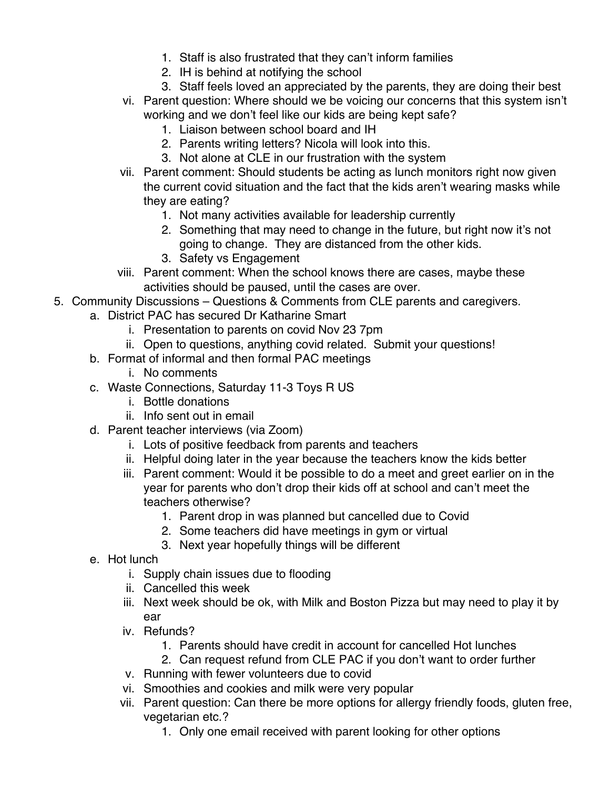- 1. Staff is also frustrated that they can't inform families
- 2. IH is behind at notifying the school
- 3. Staff feels loved an appreciated by the parents, they are doing their best
- vi. Parent question: Where should we be voicing our concerns that this system isn't working and we don't feel like our kids are being kept safe?
	- 1. Liaison between school board and IH
	- 2. Parents writing letters? Nicola will look into this.
	- 3. Not alone at CLE in our frustration with the system
- vii. Parent comment: Should students be acting as lunch monitors right now given the current covid situation and the fact that the kids aren't wearing masks while they are eating?
	- 1. Not many activities available for leadership currently
	- 2. Something that may need to change in the future, but right now it's not going to change. They are distanced from the other kids.
	- 3. Safety vs Engagement
- viii. Parent comment: When the school knows there are cases, maybe these activities should be paused, until the cases are over.
- 5. Community Discussions Questions & Comments from CLE parents and caregivers.
	- a. District PAC has secured Dr Katharine Smart
		- i. Presentation to parents on covid Nov 23 7pm
		- ii. Open to questions, anything covid related. Submit your questions!
		- b. Format of informal and then formal PAC meetings
			- i. No comments
		- c. Waste Connections, Saturday 11-3 Toys R US
			- i. Bottle donations
			- ii. Info sent out in email
		- d. Parent teacher interviews (via Zoom)
			- i. Lots of positive feedback from parents and teachers
			- ii. Helpful doing later in the year because the teachers know the kids better
			- iii. Parent comment: Would it be possible to do a meet and greet earlier on in the year for parents who don't drop their kids off at school and can't meet the teachers otherwise?
				- 1. Parent drop in was planned but cancelled due to Covid
				- 2. Some teachers did have meetings in gym or virtual
				- 3. Next year hopefully things will be different
		- e. Hot lunch
			- i. Supply chain issues due to flooding
			- ii. Cancelled this week
			- iii. Next week should be ok, with Milk and Boston Pizza but may need to play it by ear
			- iv. Refunds?
				- 1. Parents should have credit in account for cancelled Hot lunches
				- 2. Can request refund from CLE PAC if you don't want to order further
			- v. Running with fewer volunteers due to covid
			- vi. Smoothies and cookies and milk were very popular
			- vii. Parent question: Can there be more options for allergy friendly foods, gluten free, vegetarian etc.?
				- 1. Only one email received with parent looking for other options